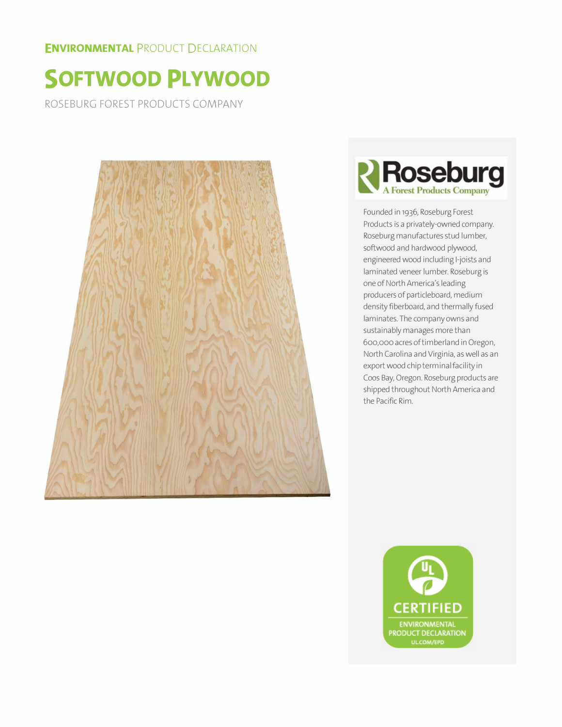#### **ENVIRONMENTAL PRODUCT DECLARATION**

# **SOFTWOOD PLYWOOD**

ROSEBURG FOREST PRODUCTS COMPANY





Founded in 1936, Roseburg Forest Products is a privately-owned company. Roseburg manufactures stud lumber, softwood and hardwood plywood, engineered wood including I-joists and laminated veneer lumber. Roseburg is one of North America's leading producers of particleboard, medium density fiberboard, and thermally fused laminates. The company owns and sustainably manages more than 600,000 acres of timberland in Oregon, North Carolina and Virginia, as well as an export wood chip terminal facility in Coos Bay, Oregon. Roseburg products are shipped throughout North America and the Pacific Rim.

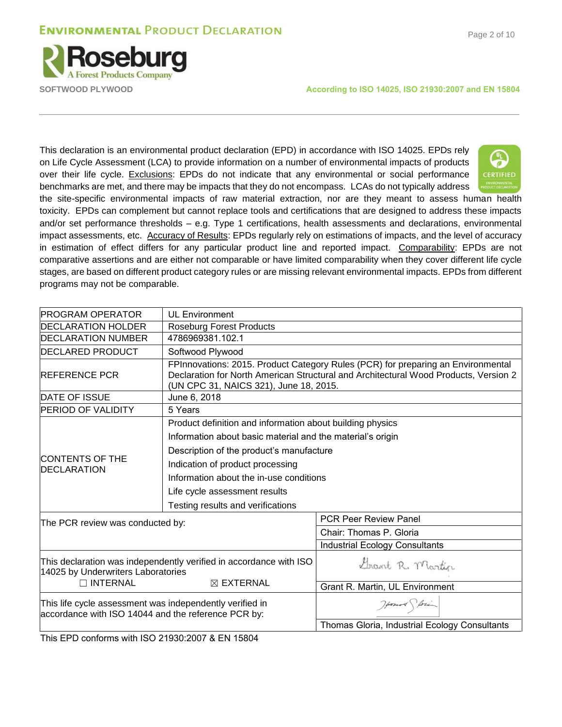### **ENVIRONMENTAL PRODUCT DECLARATION**





**SOFTWOOD PLYWOOD According to ISO 14025, ISO 21930:2007 and EN 15804**

This declaration is an environmental product declaration (EPD) in accordance with ISO 14025. EPDs rely on Life Cycle Assessment (LCA) to provide information on a number of environmental impacts of products over their life cycle. Exclusions: EPDs do not indicate that any environmental or social performance benchmarks are met, and there may be impacts that they do not encompass. LCAs do not typically address



the site-specific environmental impacts of raw material extraction, nor are they meant to assess human health toxicity. EPDs can complement but cannot replace tools and certifications that are designed to address these impacts and/or set performance thresholds – e.g. Type 1 certifications, health assessments and declarations, environmental impact assessments, etc. Accuracy of Results: EPDs regularly rely on estimations of impacts, and the level of accuracy in estimation of effect differs for any particular product line and reported impact. Comparability: EPDs are not comparative assertions and are either not comparable or have limited comparability when they cover different life cycle stages, are based on different product category rules or are missing relevant environmental impacts. EPDs from different programs may not be comparable.

| <b>IPROGRAM OPERATOR</b>                                                                                        | <b>UL Environment</b>                                                                                                   |                                                                                                                                                                                                                    |  |  |  |  |  |
|-----------------------------------------------------------------------------------------------------------------|-------------------------------------------------------------------------------------------------------------------------|--------------------------------------------------------------------------------------------------------------------------------------------------------------------------------------------------------------------|--|--|--|--|--|
| <b>DECLARATION HOLDER</b>                                                                                       | <b>Roseburg Forest Products</b>                                                                                         |                                                                                                                                                                                                                    |  |  |  |  |  |
| <b>DECLARATION NUMBER</b>                                                                                       | 4786969381.102.1                                                                                                        |                                                                                                                                                                                                                    |  |  |  |  |  |
| <b>DECLARED PRODUCT</b>                                                                                         | Softwood Plywood                                                                                                        |                                                                                                                                                                                                                    |  |  |  |  |  |
| <b>IREFERENCE PCR</b>                                                                                           |                                                                                                                         | FPInnovations: 2015. Product Category Rules (PCR) for preparing an Environmental<br>Declaration for North American Structural and Architectural Wood Products, Version 2<br>(UN CPC 31, NAICS 321), June 18, 2015. |  |  |  |  |  |
| <b>DATE OF ISSUE</b>                                                                                            | June 6, 2018                                                                                                            |                                                                                                                                                                                                                    |  |  |  |  |  |
| <b>PERIOD OF VALIDITY</b>                                                                                       | 5 Years                                                                                                                 |                                                                                                                                                                                                                    |  |  |  |  |  |
|                                                                                                                 | Product definition and information about building physics<br>Information about basic material and the material's origin |                                                                                                                                                                                                                    |  |  |  |  |  |
|                                                                                                                 | Description of the product's manufacture                                                                                |                                                                                                                                                                                                                    |  |  |  |  |  |
| ICONTENTS OF THE<br><b>DECLARATION</b>                                                                          | Indication of product processing                                                                                        |                                                                                                                                                                                                                    |  |  |  |  |  |
|                                                                                                                 | Information about the in-use conditions                                                                                 |                                                                                                                                                                                                                    |  |  |  |  |  |
|                                                                                                                 | Life cycle assessment results                                                                                           |                                                                                                                                                                                                                    |  |  |  |  |  |
|                                                                                                                 | Testing results and verifications                                                                                       |                                                                                                                                                                                                                    |  |  |  |  |  |
| The PCR review was conducted by:                                                                                |                                                                                                                         | <b>PCR Peer Review Panel</b>                                                                                                                                                                                       |  |  |  |  |  |
|                                                                                                                 |                                                                                                                         | Chair: Thomas P. Gloria                                                                                                                                                                                            |  |  |  |  |  |
|                                                                                                                 |                                                                                                                         | <b>Industrial Ecology Consultants</b>                                                                                                                                                                              |  |  |  |  |  |
| 14025 by Underwriters Laboratories                                                                              | This declaration was independently verified in accordance with ISO                                                      | Grant R. Martin                                                                                                                                                                                                    |  |  |  |  |  |
| $\Box$ INTERNAL                                                                                                 | $\boxtimes$ EXTERNAL                                                                                                    | Grant R. Martin, UL Environment                                                                                                                                                                                    |  |  |  |  |  |
| This life cycle assessment was independently verified in<br>accordance with ISO 14044 and the reference PCR by: |                                                                                                                         | Howard Storing                                                                                                                                                                                                     |  |  |  |  |  |
|                                                                                                                 |                                                                                                                         | Thomas Gloria, Industrial Ecology Consultants                                                                                                                                                                      |  |  |  |  |  |

This EPD conforms with ISO 21930:2007 & EN 15804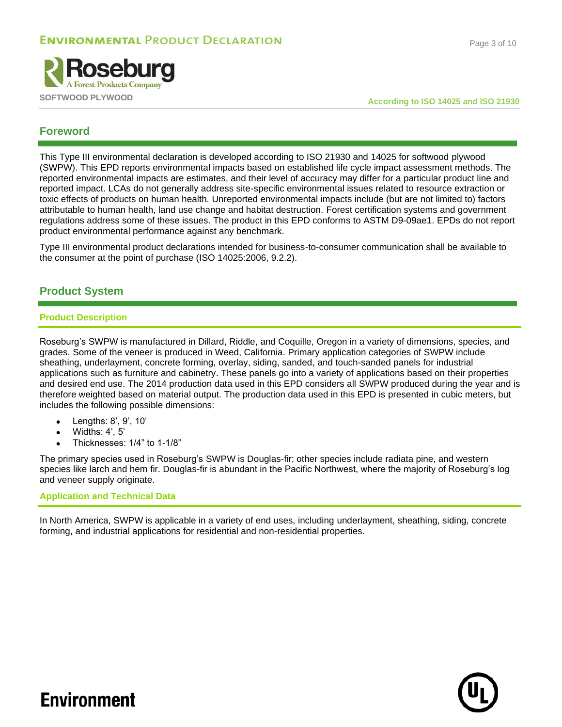

#### **Foreword**

This Type III environmental declaration is developed according to ISO 21930 and 14025 for softwood plywood (SWPW). This EPD reports environmental impacts based on established life cycle impact assessment methods. The reported environmental impacts are estimates, and their level of accuracy may differ for a particular product line and reported impact. LCAs do not generally address site-specific environmental issues related to resource extraction or toxic effects of products on human health. Unreported environmental impacts include (but are not limited to) factors attributable to human health, land use change and habitat destruction. Forest certification systems and government regulations address some of these issues. The product in this EPD conforms to ASTM D9-09ae1. EPDs do not report product environmental performance against any benchmark.

Type III environmental product declarations intended for business-to-consumer communication shall be available to the consumer at the point of purchase (ISO 14025:2006, 9.2.2).

#### **Product System**

#### **Product Description**

Roseburg's SWPW is manufactured in Dillard, Riddle, and Coquille, Oregon in a variety of dimensions, species, and grades. Some of the veneer is produced in Weed, California. Primary application categories of SWPW include sheathing, underlayment, concrete forming, overlay, siding, sanded, and touch-sanded panels for industrial applications such as furniture and cabinetry. These panels go into a variety of applications based on their properties and desired end use. The 2014 production data used in this EPD considers all SWPW produced during the year and is therefore weighted based on material output. The production data used in this EPD is presented in cubic meters, but includes the following possible dimensions:

- Lengths: 8', 9', 10'
- $\bullet$  Widths: 4', 5'
- Thicknesses: 1/4" to 1-1/8"

The primary species used in Roseburg's SWPW is Douglas-fir; other species include radiata pine, and western species like larch and hem fir. Douglas-fir is abundant in the Pacific Northwest, where the majority of Roseburg's log and veneer supply originate.

#### **Application and Technical Data**

In North America, SWPW is applicable in a variety of end uses, including underlayment, sheathing, siding, concrete forming, and industrial applications for residential and non-residential properties.

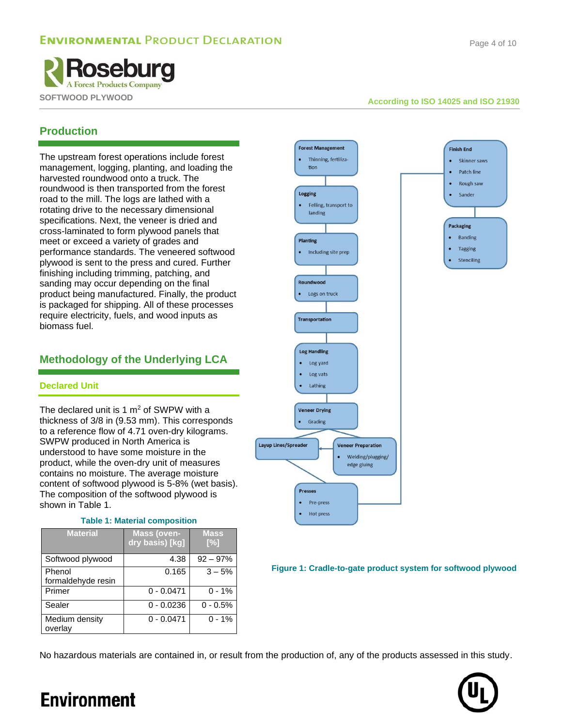**Finish End** 

Skinner saws

Patch line Rough saw

Sander

Packaging  $\bullet$  Banding

Tagging

Stenciling



#### **Production**

The upstream forest operations include forest management, logging, planting, and loading the harvested roundwood onto a truck. The roundwood is then transported from the forest road to the mill. The logs are lathed with a rotating drive to the necessary dimensional specifications. Next, the veneer is dried and cross-laminated to form plywood panels that meet or exceed a variety of grades and performance standards. The veneered softwood plywood is sent to the press and cured. Further finishing including trimming, patching, and sanding may occur depending on the final product being manufactured. Finally, the product is packaged for shipping. All of these processes require electricity, fuels, and wood inputs as biomass fuel.

### **Methodology of the Underlying LCA**

#### **Declared Unit**

The declared unit is 1  $m<sup>2</sup>$  of SWPW with a thickness of 3/8 in (9.53 mm). This corresponds to a reference flow of 4.71 oven-dry kilograms. SWPW produced in North America is understood to have some moisture in the product, while the oven-dry unit of measures contains no moisture. The average moisture content of softwood plywood is 5-8% (wet basis). The composition of the softwood plywood is shown in [Table 1.](#page-3-0)

#### **Table 1: Material composition**

<span id="page-3-0"></span>

| <b>Material</b>              | <b>Mass (oven-</b><br>dry basis) [kg] | <b>Mass</b><br>$[\%]$ |
|------------------------------|---------------------------------------|-----------------------|
| Softwood plywood             | 4.38                                  | $92 - 97%$            |
| Phenol<br>formaldehyde resin | 0.165                                 | $3 - 5%$              |
| Primer                       | $0 - 0.0471$                          | $0 - 1%$              |
| Sealer                       | $0 - 0.0236$                          | $0 - 0.5%$            |
| Medium density<br>overlay    | $0 - 0.0471$                          | $0 - 1%$              |



**Figure 1: Cradle-to-gate product system for softwood plywood**

No hazardous materials are contained in, or result from the production of, any of the products assessed in this study.

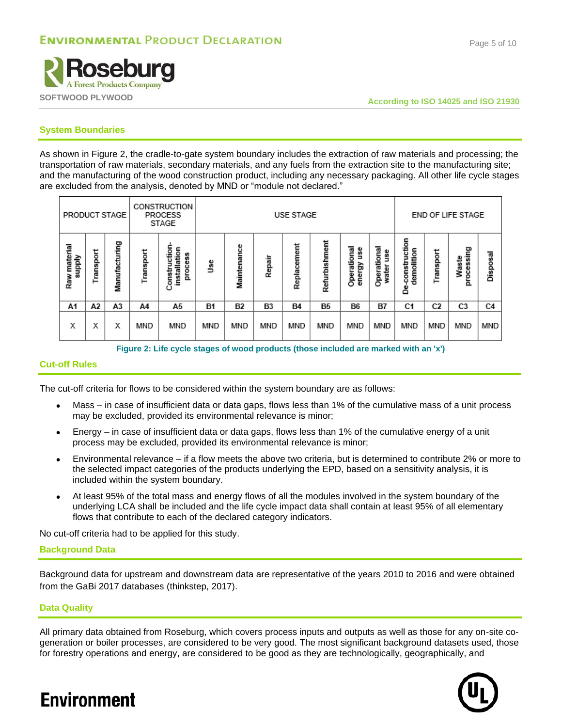

#### **System Boundaries**

As shown in [Figure 2,](#page-4-0) the cradle-to-gate system boundary includes the extraction of raw materials and processing; the transportation of raw materials, secondary materials, and any fuels from the extraction site to the manufacturing site; and the manufacturing of the wood construction product, including any necessary packaging. All other life cycle stages are excluded from the analysis, denoted by MND or "module not declared."

| PRODUCT STAGE             |           | CONSTRUCTION<br><b>PROCESS</b><br>STAGE |           | <b>USE STAGE</b>                                           |           |             |        |             | <b>END OF LIFE STAGE</b> |                            |                             |                                  |                |                     |                |
|---------------------------|-----------|-----------------------------------------|-----------|------------------------------------------------------------|-----------|-------------|--------|-------------|--------------------------|----------------------------|-----------------------------|----------------------------------|----------------|---------------------|----------------|
| material<br>Viddns<br>Raw | Transport | Manufacturing                           | Transport | uction<br>installation<br>88<br>خه<br>٥<br>onstr<br>ğ<br>ں | ٩ë        | Maintenance | Repair | Replacement | Refurbishment            | Operational<br>₫<br>energy | Operational<br>åsn<br>water | construction<br>demolition<br>డి | Transport      | processing<br>Waste | Disposal       |
| A1                        | А2        | A3                                      | A4        | А5                                                         | <b>B1</b> | <b>B2</b>   | B3     | <b>B4</b>   | <b>B5</b>                | <b>B6</b>                  | B7                          | C <sub>1</sub>                   | C <sub>2</sub> | C3                  | C <sub>4</sub> |
| х                         | х         | Х                                       | MND       | MND                                                        | MND       | MND         | MND    | MND         | <b>MND</b>               | MND                        | MND                         | <b>MND</b>                       | <b>MND</b>     | <b>MND</b>          | MND            |

**Figure 2: Life cycle stages of wood products (those included are marked with an 'x')**

#### <span id="page-4-0"></span>**Cut-off Rules**

The cut-off criteria for flows to be considered within the system boundary are as follows:

- Mass in case of insufficient data or data gaps, flows less than 1% of the cumulative mass of a unit process may be excluded, provided its environmental relevance is minor;
- Energy in case of insufficient data or data gaps, flows less than 1% of the cumulative energy of a unit process may be excluded, provided its environmental relevance is minor;
- Environmental relevance if a flow meets the above two criteria, but is determined to contribute 2% or more to the selected impact categories of the products underlying the EPD, based on a sensitivity analysis, it is included within the system boundary.
- At least 95% of the total mass and energy flows of all the modules involved in the system boundary of the underlying LCA shall be included and the life cycle impact data shall contain at least 95% of all elementary flows that contribute to each of the declared category indicators.

No cut-off criteria had to be applied for this study.

#### **Background Data**

Background data for upstream and downstream data are representative of the years 2010 to 2016 and were obtained from the GaBi 2017 databases (thinkstep, 2017).

#### **Data Quality**

**Environment** 

All primary data obtained from Roseburg, which covers process inputs and outputs as well as those for any on-site cogeneration or boiler processes, are considered to be very good. The most significant background datasets used, those for forestry operations and energy, are considered to be good as they are technologically, geographically, and



#### Page 5 of 10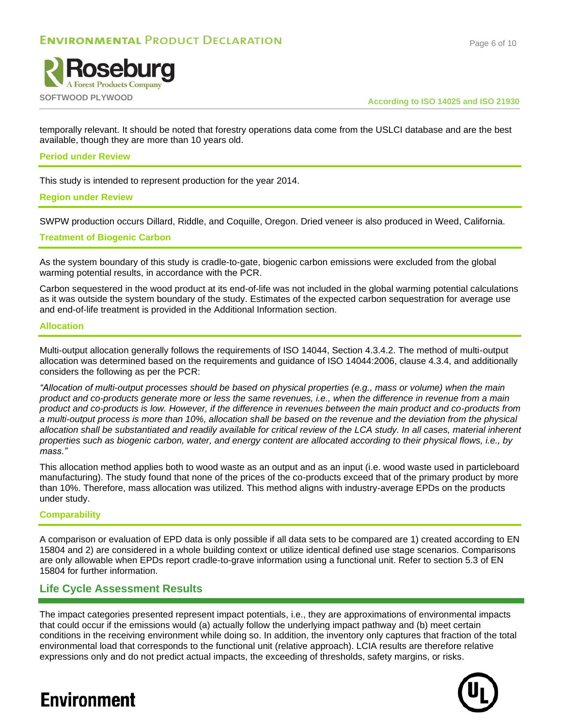



temporally relevant. It should be noted that forestry operations data come from the USLCI database and are the best available, though they are more than 10 years old.

#### **Period under Review**

This study is intended to represent production for the year 2014.

#### **Region under Review**

SWPW production occurs Dillard, Riddle, and Coquille, Oregon. Dried veneer is also produced in Weed, California.

#### **Treatment of Biogenic Carbon**

As the system boundary of this study is cradle-to-gate, biogenic carbon emissions were excluded from the global warming potential results, in accordance with the PCR.

Carbon sequestered in the wood product at its end-of-life was not included in the global warming potential calculations as it was outside the system boundary of the study. Estimates of the expected carbon sequestration for average use and end-of-life treatment is provided in the Additional Information section.

#### **Allocation**

Multi-output allocation generally follows the requirements of ISO 14044, Section 4.3.4.2. The method of multi-output allocation was determined based on the requirements and guidance of ISO 14044:2006, clause 4.3.4, and additionally considers the following as per the PCR:

*"Allocation of multi-output processes should be based on physical properties (e.g., mass or volume) when the main product and co-products generate more or less the same revenues, i.e., when the difference in revenue from a main product and co-products is low. However, if the difference in revenues between the main product and co-products from a multi-output process is more than 10%, allocation shall be based on the revenue and the deviation from the physical allocation shall be substantiated and readily available for critical review of the LCA study. In all cases, material inherent properties such as biogenic carbon, water, and energy content are allocated according to their physical flows, i.e., by mass."* 

This allocation method applies both to wood waste as an output and as an input (i.e. wood waste used in particleboard manufacturing). The study found that none of the prices of the co-products exceed that of the primary product by more than 10%. Therefore, mass allocation was utilized. This method aligns with industry-average EPDs on the products under study.

#### **Comparability**

A comparison or evaluation of EPD data is only possible if all data sets to be compared are 1) created according to EN 15804 and 2) are considered in a whole building context or utilize identical defined use stage scenarios. Comparisons are only allowable when EPDs report cradle-to-grave information using a functional unit. Refer to section 5.3 of EN 15804 for further information.

#### **Life Cycle Assessment Results**

The impact categories presented represent impact potentials, i.e., they are approximations of environmental impacts that could occur if the emissions would (a) actually follow the underlying impact pathway and (b) meet certain conditions in the receiving environment while doing so. In addition, the inventory only captures that fraction of the total environmental load that corresponds to the functional unit (relative approach). LCIA results are therefore relative expressions only and do not predict actual impacts, the exceeding of thresholds, safety margins, or risks.

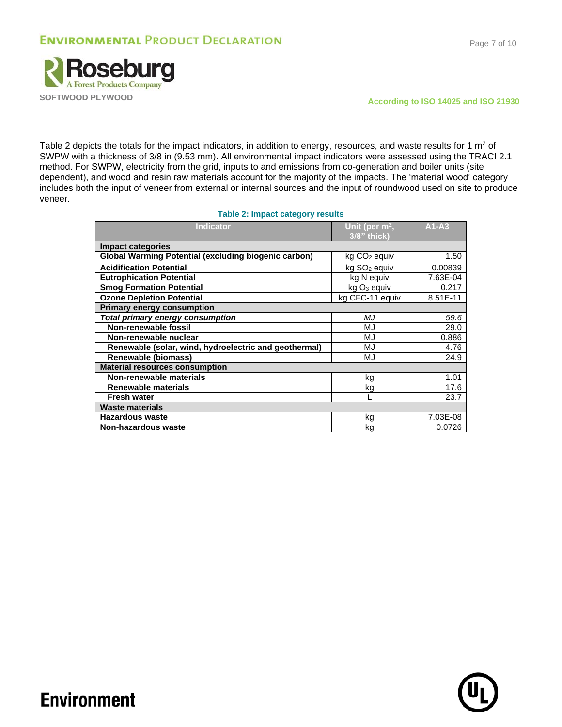

Page 7 of 10

[Table 2](#page-6-0) depicts the totals for the impact indicators, in addition to energy, resources, and waste results for 1  $m<sup>2</sup>$  of SWPW with a thickness of 3/8 in (9.53 mm). All environmental impact indicators were assessed using the TRACI 2.1 method. For SWPW, electricity from the grid, inputs to and emissions from co-generation and boiler units (site dependent), and wood and resin raw materials account for the majority of the impacts. The 'material wood' category includes both the input of veneer from external or internal sources and the input of roundwood used on site to produce veneer.

#### **Table 2: Impact category results**

<span id="page-6-0"></span>

| Unit (per $m^2$ ,<br>3/8" thick) | $A1 - A3$       |
|----------------------------------|-----------------|
|                                  |                 |
| kg CO <sub>2</sub> equiv         | 1.50            |
| kg SO <sub>2</sub> equiv         | 0.00839         |
| kg N equiv                       | 7.63E-04        |
| $kg3$ equiv                      | 0.217           |
|                                  | 8.51E-11        |
|                                  |                 |
| МJ                               | 59.6            |
| MJ                               | 29.0            |
| MJ                               | 0.886           |
| MJ                               | 4.76            |
| MJ                               | 24.9            |
|                                  |                 |
| kg                               | 1.01            |
| kg                               | 17.6            |
|                                  | 23.7            |
|                                  |                 |
| kg                               | 7.03E-08        |
| kg                               | 0.0726          |
|                                  | kg CFC-11 equiv |

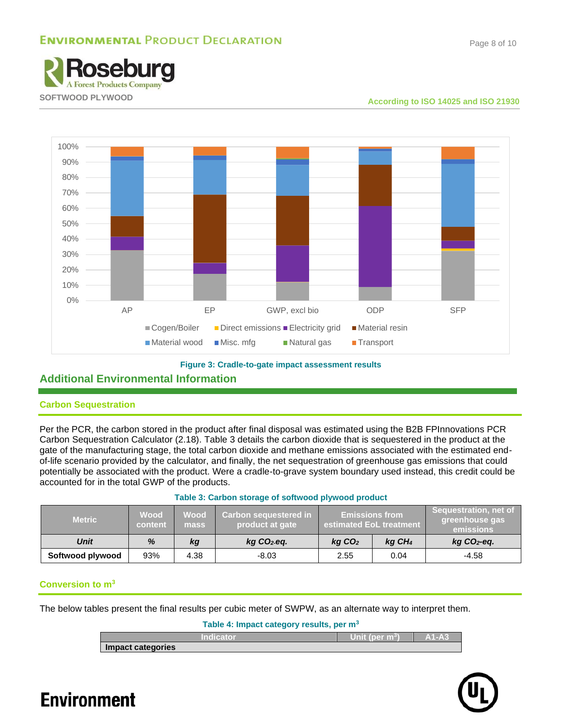### **ENVIRONMENTAL PRODUCT DECLARATION**





#### **Figure 3: Cradle-to-gate impact assessment results**

#### **Additional Environmental Information**

#### **Carbon Sequestration**

Per the PCR, the carbon stored in the product after final disposal was estimated using the B2B FPInnovations PCR Carbon Sequestration Calculator (2.18). [Table 3](#page-7-0) details the carbon dioxide that is sequestered in the product at the gate of the manufacturing stage, the total carbon dioxide and methane emissions associated with the estimated endof-life scenario provided by the calculator, and finally, the net sequestration of greenhouse gas emissions that could potentially be associated with the product. Were a cradle-to-grave system boundary used instead, this credit could be accounted for in the total GWP of the products.

<span id="page-7-0"></span>

| <b>Metric</b>    | <b>Wood</b><br>content | <b>Wood</b><br>mass | Carbon sequestered in<br>product at gate | <b>Emissions from</b><br>estimated EoL treatment |  | Sequestration, net of<br>greenhouse gas<br>emissions |  |
|------------------|------------------------|---------------------|------------------------------------------|--------------------------------------------------|--|------------------------------------------------------|--|
| <b>Unit</b>      | %                      | kg                  | $kg CO2$ -eq.                            | $kq$ CO <sub>2</sub><br>$kq$ CH <sub>4</sub>     |  | $kg CO2$ -eq.                                        |  |
| Softwood plywood | 93%                    | 4.38                | $-8.03$                                  | 0.04<br>2.55                                     |  | $-4.58$                                              |  |

#### **Table 3: Carbon storage of softwood plywood product**

#### **Conversion to m<sup>3</sup>**

The below tables present the final results per cubic meter of SWPW, as an alternate way to interpret them.

**Table 4: Impact category results, per m<sup>3</sup>**

| Indicator         | т<br>∕Unit (per m <sup>3</sup> ) | A1-A3 |
|-------------------|----------------------------------|-------|
| Impact categories |                                  |       |

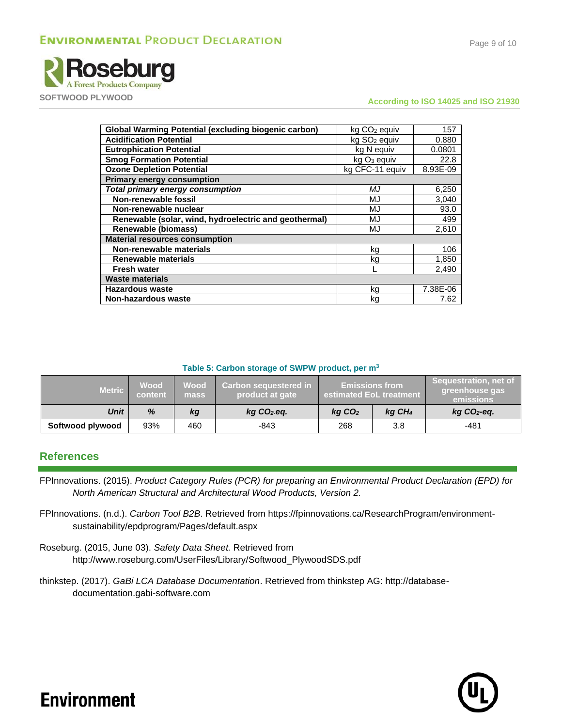

### **SOFTWOOD PLYWOOD According to ISO 14025 and ISO 21930**

| <b>Global Warming Potential (excluding biogenic carbon)</b> | kg CO <sub>2</sub> equiv | 157      |
|-------------------------------------------------------------|--------------------------|----------|
| <b>Acidification Potential</b>                              | kg SO <sub>2</sub> equiv | 0.880    |
| <b>Eutrophication Potential</b>                             | kg N equiv               | 0.0801   |
| <b>Smog Formation Potential</b>                             | kg O <sub>3</sub> equiv  | 22.8     |
| <b>Ozone Depletion Potential</b>                            | kg CFC-11 equiv          | 8.93E-09 |
| <b>Primary energy consumption</b>                           |                          |          |
| <b>Total primary energy consumption</b>                     | МJ                       | 6,250    |
| Non-renewable fossil                                        | MJ                       | 3,040    |
| Non-renewable nuclear                                       | MJ                       | 93.0     |
| Renewable (solar, wind, hydroelectric and geothermal)       | MJ                       | 499      |
| <b>Renewable (biomass)</b>                                  | MJ                       | 2,610    |
| <b>Material resources consumption</b>                       |                          |          |
| Non-renewable materials                                     | kg                       | 106      |
| <b>Renewable materials</b>                                  | kg                       | 1,850    |
| <b>Fresh water</b>                                          |                          | 2,490    |
| <b>Waste materials</b>                                      |                          |          |
| <b>Hazardous waste</b>                                      | kg                       | 7.38E-06 |
| <b>Non-hazardous waste</b>                                  | kg                       | 7.62     |

#### **Table 5: Carbon storage of SWPW product, per m<sup>3</sup>**

| <b>Metric</b>    | <b>Wood</b><br>content | Wood'<br>mass | <b>Carbon sequestered in</b> '<br>product at gate | <b>Emissions from</b><br>estimated EoL treatment |  | Sequestration, net of<br>greenhouse gas<br>emissions |
|------------------|------------------------|---------------|---------------------------------------------------|--------------------------------------------------|--|------------------------------------------------------|
| Unit             | %                      | kg            | $kg CO2$ -eq.                                     | $kq$ CO <sub>2</sub><br>$kq$ CH <sub>4</sub>     |  | $kg CO2 - eq.$                                       |
| Softwood plywood | 93%                    | 460           | -843                                              | 268<br>3.8                                       |  | -481                                                 |

#### **References**

- FPInnovations. (2015). *Product Category Rules (PCR) for preparing an Environmental Product Declaration (EPD) for North American Structural and Architectural Wood Products, Version 2.*
- FPInnovations. (n.d.). *Carbon Tool B2B*. Retrieved from https://fpinnovations.ca/ResearchProgram/environmentsustainability/epdprogram/Pages/default.aspx
- Roseburg. (2015, June 03). *Safety Data Sheet.* Retrieved from http://www.roseburg.com/UserFiles/Library/Softwood\_PlywoodSDS.pdf
- thinkstep. (2017). *GaBi LCA Database Documentation*. Retrieved from thinkstep AG: http://databasedocumentation.gabi-software.com